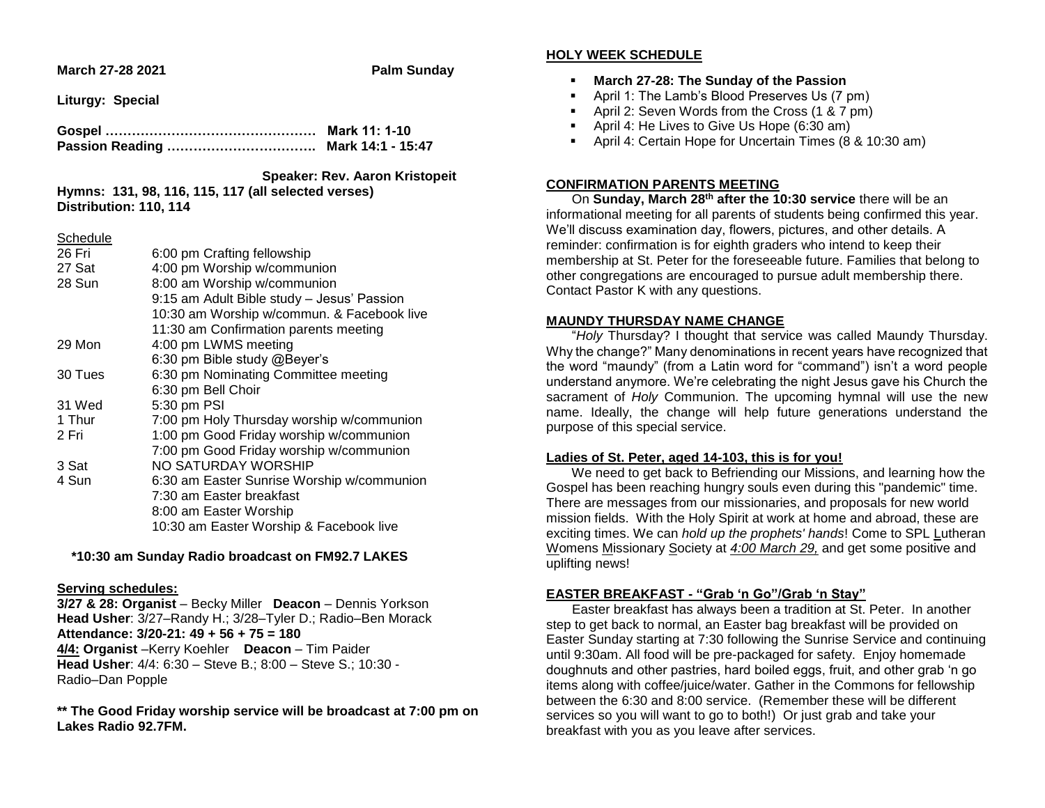**March 27-28 2021 Palm Sunday**

**Liturgy: Special**

#### **Speaker: Rev. Aaron Kristopeit Hymns: 131, 98, 116, 115, 117 (all selected verses) Distribution: 110, 114**

#### **Schedule**

| 26 Fri  | 6:00 pm Crafting fellowship                |
|---------|--------------------------------------------|
| 27 Sat  | 4:00 pm Worship w/communion                |
| 28 Sun  | 8:00 am Worship w/communion                |
|         | 9:15 am Adult Bible study - Jesus' Passion |
|         | 10:30 am Worship w/commun. & Facebook live |
|         | 11:30 am Confirmation parents meeting      |
| 29 Mon  | 4:00 pm LWMS meeting                       |
|         | 6:30 pm Bible study @Beyer's               |
| 30 Tues | 6:30 pm Nominating Committee meeting       |
|         | 6:30 pm Bell Choir                         |
| 31 Wed  | 5:30 pm PSI                                |
| 1 Thur  | 7:00 pm Holy Thursday worship w/communion  |
| 2 Fri   | 1:00 pm Good Friday worship w/communion    |
|         | 7:00 pm Good Friday worship w/communion    |
| 3 Sat   | NO SATURDAY WORSHIP                        |
| 4 Sun   | 6:30 am Easter Sunrise Worship w/communion |
|         | 7:30 am Easter breakfast                   |
|         | 8:00 am Easter Worship                     |
|         | 10:30 am Easter Worship & Facebook live    |

## **\*10:30 am Sunday Radio broadcast on FM92.7 LAKES**

## **Serving schedules:**

**3/27 & 28: Organist** – Becky Miller **Deacon** – Dennis Yorkson **Head Usher**: 3/27–Randy H.; 3/28–Tyler D.; Radio–Ben Morack **Attendance: 3/20-21: 49 + 56 + 75 = 180 4/4: Organist** –Kerry Koehler **Deacon** – Tim Paider **Head Usher**: 4/4: 6:30 – Steve B.; 8:00 – Steve S.; 10:30 - Radio–Dan Popple

**\*\* The Good Friday worship service will be broadcast at 7:00 pm on Lakes Radio 92.7FM.**

## **HOLY WEEK SCHEDULE**

- **March 27-28: The Sunday of the Passion**
- April 1: The Lamb's Blood Preserves Us (7 pm)
- April 2: Seven Words from the Cross (1 & 7 pm)
- **April 4: He Lives to Give Us Hope (6:30 am)**
- April 4: Certain Hope for Uncertain Times (8 & 10:30 am)

# **CONFIRMATION PARENTS MEETING**

 On **Sunday, March 28th after the 10:30 service** there will be an informational meeting for all parents of students being confirmed this year. We'll discuss examination day, flowers, pictures, and other details. A reminder: confirmation is for eighth graders who intend to keep their membership at St. Peter for the foreseeable future. Families that belong to other congregations are encouraged to pursue adult membership there. Contact Pastor K with any questions.

## **MAUNDY THURSDAY NAME CHANGE**

 "*Holy* Thursday? I thought that service was called Maundy Thursday. Why the change?" Many denominations in recent years have recognized that the word "maundy" (from a Latin word for "command") isn't a word people understand anymore. We're celebrating the night Jesus gave his Church the sacrament of *Holy* Communion. The upcoming hymnal will use the new name. Ideally, the change will help future generations understand the purpose of this special service.

## **Ladies of St. Peter, aged 14-103, this is for you!**

We need to get back to Befriending our Missions, and learning how the Gospel has been reaching hungry souls even during this "pandemic" time. There are messages from our missionaries, and proposals for new world mission fields. With the Holy Spirit at work at home and abroad, these are exciting times. We can *hold up the prophets' hands*! Come to SPL Lutheran Womens Missionary Society at *4:00 March 29,* and get some positive and uplifting news!

# **EASTER BREAKFAST - "Grab 'n Go"/Grab 'n Stay"**

 Easter breakfast has always been a tradition at St. Peter. In another step to get back to normal, an Easter bag breakfast will be provided on Easter Sunday starting at 7:30 following the Sunrise Service and continuing until 9:30am. All food will be pre-packaged for safety. Enjoy homemade doughnuts and other pastries, hard boiled eggs, fruit, and other grab 'n go items along with coffee/juice/water. Gather in the Commons for fellowship between the 6:30 and 8:00 service. (Remember these will be different services so you will want to go to both!) Or just grab and take your breakfast with you as you leave after services.